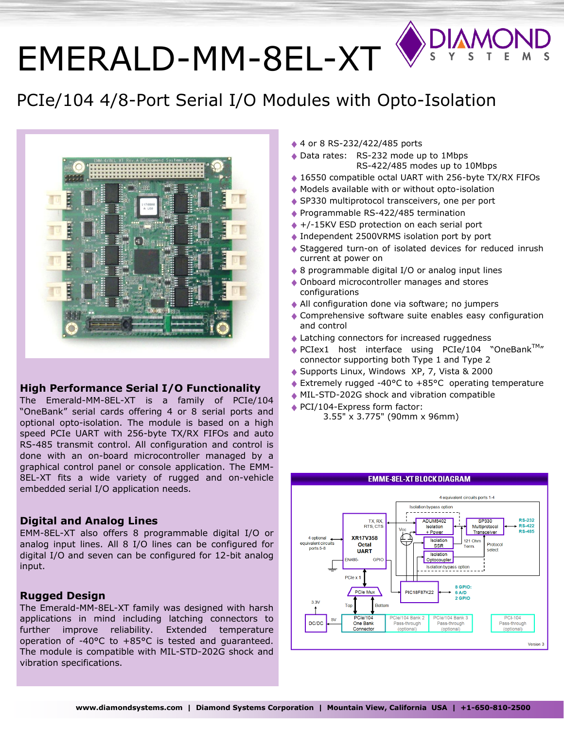# [EMERALD-MM-8EL-XT](http://www.diamondsystems.com/products/dmm32dx)

## PCIe/104 4/8-Port Serial I/O Modules with Opto-Isolation



### **High Performance Serial I/O Functionality**

The Emerald-MM-8EL-XT is a family of PCIe/104 "OneBank" serial cards offering 4 or 8 serial ports and optional opto-isolation. The module is based on a high speed PCIe UART with 256-byte TX/RX FIFOs and auto RS-485 transmit control. All configuration and control is done with an on-board microcontroller managed by a graphical control panel or console application. The EMM-8EL-XT fits a wide variety of rugged and on-vehicle embedded serial I/O application needs.

### **Digital and Analog Lines**

EMM-8EL-XT also offers 8 programmable digital I/O or analog input lines. All 8 I/O lines can be configured for digital I/O and seven can be configured for 12-bit analog input.

### **Rugged Design**

The Emerald-MM-8EL-XT family was designed with harsh applications in mind including latching connectors to further improve reliability. Extended temperature operation of -40°C to +85°C is tested and guaranteed. The module is compatible with MIL-STD-202G shock and vibration specifications.

- ◆ 4 or 8 RS-232/422/485 ports
- ◆ Data rates: RS-232 mode up to 1Mbps RS-422/485 modes up to 10Mbps
- ◆ 16550 compatible octal UART with 256-byte TX/RX FIFOs
- Models available with or without opto-isolation
- ◆ SP330 multiprotocol transceivers, one per port
- ◆ Programmable RS-422/485 termination
- ◆ +/-15KV ESD protection on each serial port
- ◆ Independent 2500VRMS isolation port by port
- Staggered turn-on of isolated devices for reduced inrush current at power on
- ◆ 8 programmable digital I/O or analog input lines
- ◆ Onboard microcontroller manages and stores configurations
- All configuration done via software; no jumpers
- ◆ Comprehensive software suite enables easy configuration and control
- ◆ Latching connectors for increased ruggedness
- $\triangle$  PCIex1 host interface using PCIe/104 "OneBank<sup>TM</sup>" connector supporting both Type 1 and Type 2
- ◆ Supports Linux, Windows XP, 7, Vista & 2000
- Extremely rugged -40°C to +85°C operating temperature
- MIL-STD-202G shock and vibration compatible
- PCI/104-Express form factor: